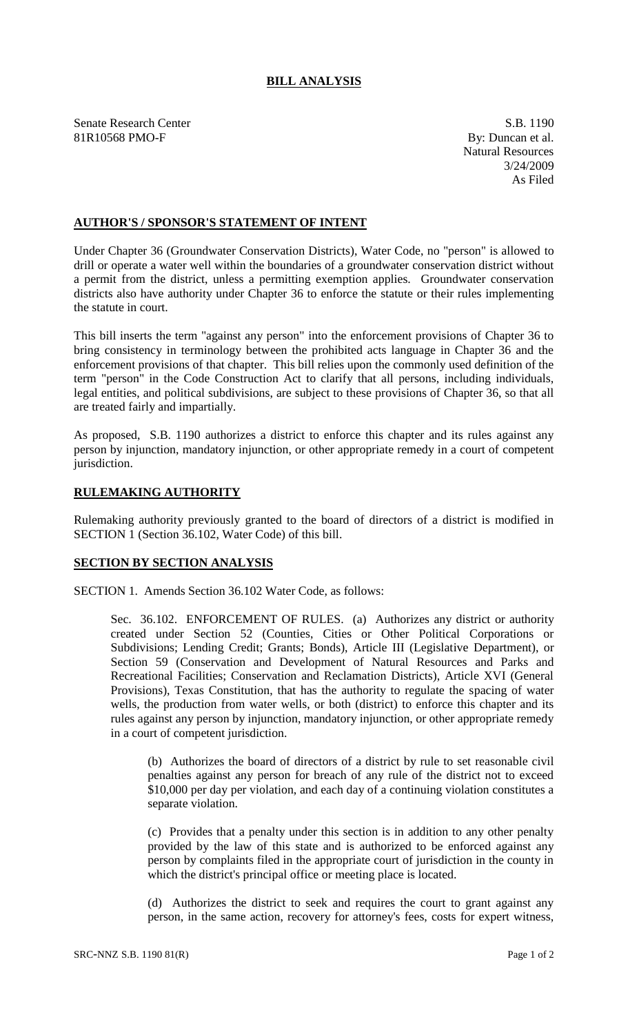## **BILL ANALYSIS**

Senate Research Center S.B. 1190 81R10568 PMO-F By: Duncan et al.

Natural Resources 3/24/2009 As Filed

## **AUTHOR'S / SPONSOR'S STATEMENT OF INTENT**

Under Chapter 36 (Groundwater Conservation Districts), Water Code, no "person" is allowed to drill or operate a water well within the boundaries of a groundwater conservation district without a permit from the district, unless a permitting exemption applies. Groundwater conservation districts also have authority under Chapter 36 to enforce the statute or their rules implementing the statute in court.

This bill inserts the term "against any person" into the enforcement provisions of Chapter 36 to bring consistency in terminology between the prohibited acts language in Chapter 36 and the enforcement provisions of that chapter. This bill relies upon the commonly used definition of the term "person" in the Code Construction Act to clarify that all persons, including individuals, legal entities, and political subdivisions, are subject to these provisions of Chapter 36, so that all are treated fairly and impartially.

As proposed, S.B. 1190 authorizes a district to enforce this chapter and its rules against any person by injunction, mandatory injunction, or other appropriate remedy in a court of competent jurisdiction.

## **RULEMAKING AUTHORITY**

Rulemaking authority previously granted to the board of directors of a district is modified in SECTION 1 (Section 36.102, Water Code) of this bill.

## **SECTION BY SECTION ANALYSIS**

SECTION 1. Amends Section 36.102 Water Code, as follows:

Sec. 36.102. ENFORCEMENT OF RULES. (a) Authorizes any district or authority created under Section 52 (Counties, Cities or Other Political Corporations or Subdivisions; Lending Credit; Grants; Bonds), Article III (Legislative Department), or Section 59 (Conservation and Development of Natural Resources and Parks and Recreational Facilities; Conservation and Reclamation Districts), Article XVI (General Provisions), Texas Constitution, that has the authority to regulate the spacing of water wells, the production from water wells, or both (district) to enforce this chapter and its rules against any person by injunction, mandatory injunction, or other appropriate remedy in a court of competent jurisdiction.

(b) Authorizes the board of directors of a district by rule to set reasonable civil penalties against any person for breach of any rule of the district not to exceed \$10,000 per day per violation, and each day of a continuing violation constitutes a separate violation.

(c) Provides that a penalty under this section is in addition to any other penalty provided by the law of this state and is authorized to be enforced against any person by complaints filed in the appropriate court of jurisdiction in the county in which the district's principal office or meeting place is located.

(d) Authorizes the district to seek and requires the court to grant against any person, in the same action, recovery for attorney's fees, costs for expert witness,